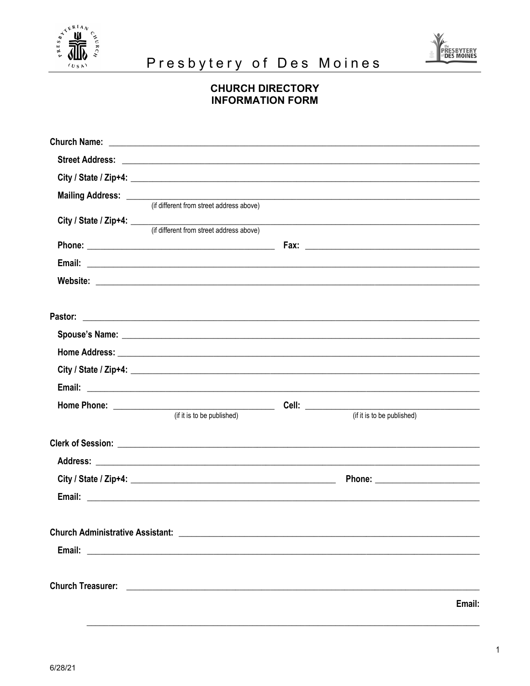



## Presbytery of Des Moines

## **CHURCH DIRECTORY INFORMATION FORM**

| Mailing Address: ________               |                                                                |                   |                            |        |
|-----------------------------------------|----------------------------------------------------------------|-------------------|----------------------------|--------|
|                                         | (if different from street address above)                       |                   |                            |        |
|                                         | City / State / Zip+4: (if different from street address above) |                   |                            |        |
|                                         |                                                                |                   |                            |        |
|                                         |                                                                |                   |                            |        |
|                                         |                                                                |                   |                            |        |
|                                         |                                                                |                   |                            |        |
|                                         |                                                                |                   |                            |        |
|                                         |                                                                |                   |                            |        |
|                                         |                                                                |                   |                            |        |
|                                         |                                                                |                   |                            |        |
|                                         |                                                                | Cell: ___________ |                            |        |
|                                         |                                                                |                   | (if it is to be published) |        |
|                                         |                                                                |                   |                            |        |
|                                         |                                                                |                   |                            |        |
|                                         |                                                                |                   |                            |        |
|                                         |                                                                |                   |                            |        |
| <b>Church Administrative Assistant:</b> |                                                                |                   |                            |        |
|                                         |                                                                |                   |                            |        |
|                                         |                                                                |                   |                            |        |
|                                         |                                                                |                   |                            | Email: |